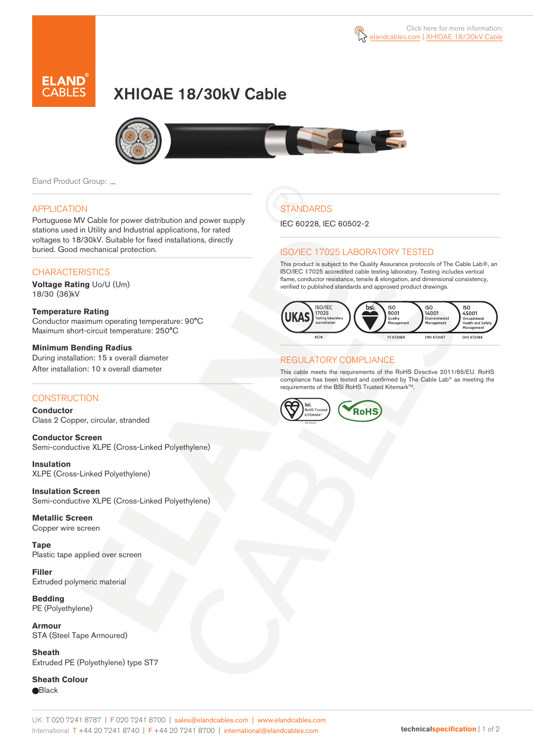

# XHIOAE 18/30kV Cable



Eland Product Group: ...

### APPLICATION

Portuguese MV Cable for power distribution and power supply stations used in Utility and Industrial applications, for rated voltages to 18/30kV. Suitable for fixed installations, directly buried. Good mechanical protection.

### **CHARACTERISTICS**

**Voltage Rating** Uo/U (Um) 18/30 (36)kV

#### **Temperature Rating**  Conductor maximum operating temperature: 90°C Maximum short-circuit temperature: 250°C

**Minimum Bending Radius**  During installation: 15 x overall diameter After installation: 10 x overall diameter

### **CONSTRUCTION**

**Conductor**  Class 2 Copper, circular, stranded

**Conductor Screen** Semi-conductive XLPE (Cross-Linked Polyethylene)

**Insulation** XLPE (Cross-Linked Polyethylene)

**Insulation Screen** Semi-conductive XLPE (Cross-Linked Polyethylene)

**Metallic Screen**  Copper wire screen

**Tape** Plastic tape applied over screen

**Filler** Extruded polymeric material

**Bedding** PE (Polyethylene)

**Armour** STA (Steel Tape Armoured)

**Sheath** Extruded PE (Polyethylene) type ST7

**Sheath Colour Black** 

## **STANDARDS**

IEC 60228, IEC 60502-2

### ISO/IEC 17025 LABORATORY TESTED

This product is subject to the Quality Assurance protocols of The Cable Lab®, an ISO/IEC 17025 accredited cable testing laboratory. Testing includes vertical flame, conductor resistance, tensile & elongation, and dimensional consistency, verified to published standards and approved product drawings.



### REGULATORY COMPLIANCE

This cable meets the requirements of the RoHS Directive 2011/65/EU. RoHS compliance has been tested and confirmed by The Cable Lab® as meeting the requirements of the BSI RoHS Trusted Kitemark™.